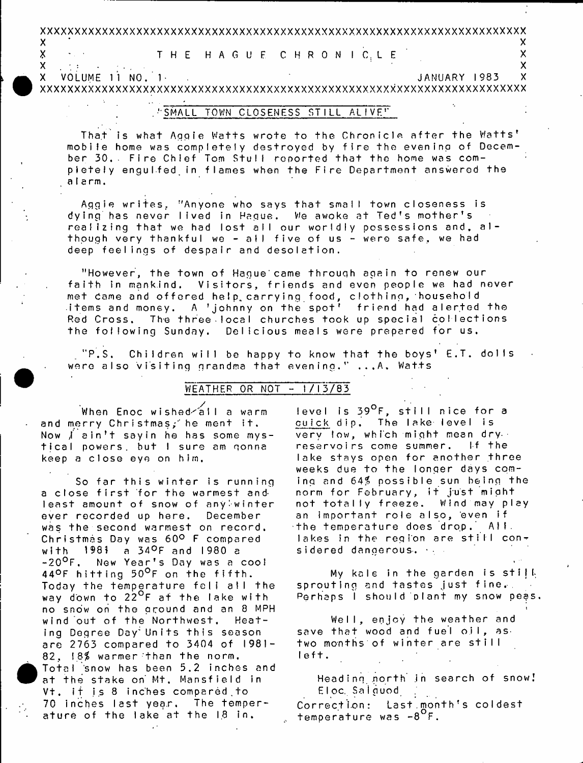# 

THE HAGUE CHRONICLE

 $\sim 200$  km s  $^{-1}$ VOLUME 11 NO. 1 JANUARY 1983  $\overline{\mathsf{x}}$  $\mathsf{X}$ 

## SMALL TOWN CLOSENESS STILL ALIVET

That is what Aggie Watts wrote to the Chronicle after the Watts' mobile home was completely destroyed by fire the evening of December 30. Fire Chlef Tom Stull reported that the home was compictely enquifed in flames when the Fire Department answered the alarm.

Aggie writes. "Anyone who says that small town closeness is dying has never lived in Haque. We awoke at Ted's mother's realizing that we had lost all our worldly possessions and, although very thankful we - all five of us - were safe, we had deep feelings of despair and desolation.

"However, the town of Haque came through again to renew our faith in mankind. Visitors, friends and even people we had never met came and offered help carrying food, clothing, household items and money. A 'johnny on the spot' friend had alerted the Red Cross, The three local churches took up special collections the following Sunday. Delicious meals were prepared for us.

 $"P.S.$ Children will be happy to know that the boys' E.T. dolls were also visiting grandma that evening." ...A. Watts

### WEATHER OR NOT - 1/13/83

.<br>When Enoc wished⁄all a warm and merry Christmas; he ment it. Now *f* ain't say in he has some mystical powers, but I sure am gonna keep a close eye on him.

 $\boldsymbol{\mathsf{X}}$ 

X

 $\mathsf{X}$ 

 $\sim 200$  km s  $^{-1}$  .

So far this winter is running a close first for the warmest and least amount of snow of anyiwinter ever recorded up here. December was the second warmest on record. Christmas Day was 60° F compared with 1981 a 34°F and 1980 a -20<sup>o</sup>F, New Year's Day was a cool 44°F hitting 50°F on the fifth. Today the temperature fell all the way down to 22<sup>o</sup>f at the lake with no snow on the around and an 8 MPH wind out of the Northwest. Heating Degree Day Units this season are 2763 compared to 3404 of 1981-82, 18% warmer than the norm. Total snow has been 5.2 inches and at the stake on Mt. Mansfield in Vt. if is 8 inches compared to 70 inches last year. The temperature of the lake at the 18 in.

level is 39<sup>0</sup>F, still nice for a cuick dip. The lake level is very low, which might mean dry. reservoirs come summer. If the lake stays open for another three weeks due to the longer days coming and 64% possible sun being the norm for February, it just might not totally freeze. Wind may play an important role also, even if the temperature does drop.  $\mathsf{A}\mathsf{H}.$ lakes in the region are still considered dangerous.

Χ

 $\overline{\mathsf{x}}$ 

X

My kale in the garden is still sprouting and tastes just fine. Perhaps I should plant my snow peas.

Well, enjoy the weather and save that wood and fuel oil, as two months of winter are still left.

Heading north in search of snow! Eloc Salguod Correction: Last.month's coldest temperature was -8<sup>°</sup>F.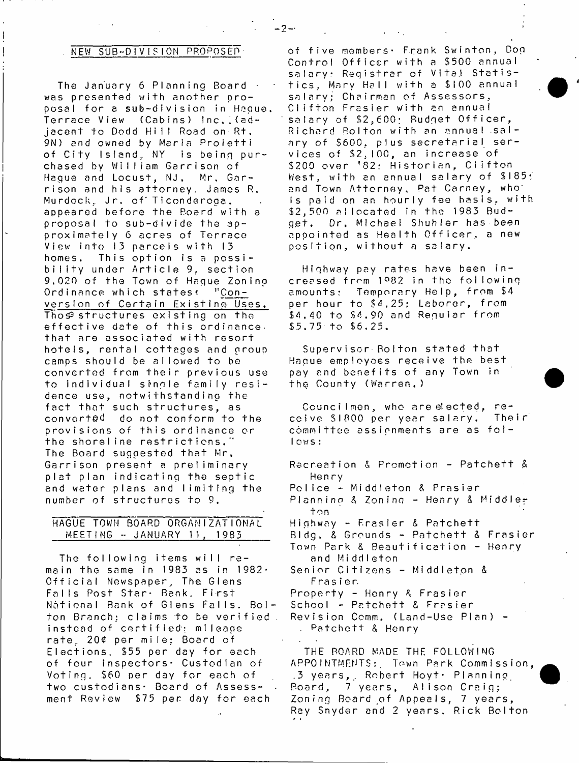### NEW SUB-DIVISION PROPOSED

The January 6 Planning Board · was presented with another proposal for a sub-division in Haque. Terrace View (Cabins) Inc. [(ad**j a c e n t t o Dodd Hi I I Road on R t .** 9N) and owned by Maria Proietti of City Island, NY is being purchased by William Garrison of Hague and Locust, NJ. Mr. Garrison and his attorney. James R. Murdock, Jr. of Ticonderoga. **appeared before the Board with a proposal to sub-divide the ap**proximately 6 acres of Terrace View into 13 parcels with 13 homes. This option is a possi**b i l i t y under A rtic le 9, section** 9,020 of the Town of Haque Zoning Ordinance which states<sup>(</sup> "Con**version of Certain Existing- Uses.** Thos<sup>2</sup> structures existing on the effective date of this ordinance. **that are associated with resort h o t e ls , rental cottages and group** camps should be allowed to be **converted from t h e i r previous use** to individual single family resi**dence use, notwithstanding the** fact that such structures, as converted do not conform to the **provisions of this ordinance or** the shoreline restrictions.<sup>"</sup> The Board suggested that Mr. Garrison present a preliminary **plat plan indicating the septic and water plans and l i m i t i n g the** number of structures to 9.

### **HAGUE TOWN BOARD ORGANIZATIONAL MEETING - JANUARY 11. 1983**

**The following items w ill re**  main the same in 1983 as in 1982· Official Newspaper, The Glens Falls Post Star<sub>t</sub> Bank, First National Bank of Glens Falls. Bolton Branch; claims to be verified . instead of certified: mileage **ra te , 20£ per mile; Board of** Elections. \$55 per day for each **of four inspectors\* Custodian of Voting. \$60 per day for each of two custodians\* Board of Assess- .** ment Review \$75 per day for each

of five members, Frank Swinton, Dog Control Officer with a \$500 annual salary: Registrar of Vital Statis**t i c s , Ma r y H a l l w i t h a \$ I 0 0 a n n u a l salary; Chairman of Assessors, C l i f t o n F r a s i e r w i t h an annual** salary of \$2,600; Budget Officer, Richard Bolton with an annual sal**ary of \$600. plus secretarial ser**vices of \$2,100, an increase of **\$200 over ' 82: H is to ria n , C lifto n** West, with an annual salary of \$185; and Town Attorney, Pat Carney, who is paid on an hourly fee basis, with **\$ 2 , 5 0 0 a l l o c a t e d in the 1983 Budget. Dr. Michael Shuhler has been a p p o i n t e d as H e a l t h O f f i c e r , a new** position, without a salary.

**Highway pay rates have been in**  creased from 1982 in the following amounts: Temporary Help, from \$4 per hour to \$4,25; Laborer, from **\$4,40 to \$4.90 and Regular from \$5.75-to \$5.25.**

**Supervisor'Bolton stated that Hague employees re ceive the best pay and b e n e f i t s o f any Town in thg County (Warren.)**

Councilmen, who are elected, re**c e i v e SI 8 0 0 p e r y e a r s a l a r y . T h e i r committee assignments are as f o l lows:**

Recreation & Promotion - Patchett & **Hen ry** Police - Middleton & Prasier Planning & Zoning - Henry & Middle**ton** Highway - Frasier & Patchett Bldg. & Grounds - Patchett & Frasier Town Park & Beautification - Henry and Middleton **Senior Citizens - Middiet.on & Frasier Property - Henry** *K* **Frasier** School - Patchett & Frasier Revision Comm. (Land-Use Plan) -**. p a t c h e t t & H e n r y THE BOARD MADE THE FOLLOWI NG**

APPOINTMENTS: Town Park Commission, **.3 y e a r s , , R ob er t Hoyt\* P l a n n i n g** Board, 7 years, Alison Craig; Zoning Board of Appeals, 7 years, Ray Snyder and 2 years, Rick Bolton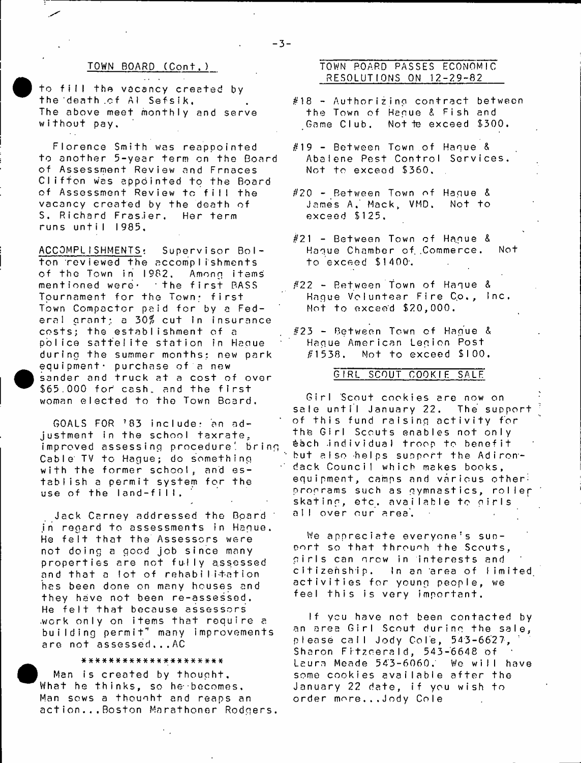to fill the vacancy created by **t h e 'd e a t h . o f A I S e f s i k , The above meet monthly and serve without pay.**

Florence Smith was reappointed to another 5-year term on the Board **of Assessment Review and Frnaces C l i f t o n was a p p o i n t e d t o t h e Board of Assessment Review to f i l l the** vacancy created by the death of S, Richard Frasier, Her term **r u n s u n t i I I 9 8 5 ,**

ACCOMPLISHMENTS: Supervisor Bol**ton reviewed the accomplishments** of the Town in 1982. Among items **m e n t i o n e d w e r e ' t h e f i r s t PASS** Tournament for the Town; first Town Compactor paid for by a Federal grant; a 30% cut in insurance **costs; the establishment of a** police sattelite station in Haque **d u r i n g t h e summer mont hs: new p a r k**  $equipment \cdot$  purchase of a new sander and truck at a cost of over \$65.000 for cash, and the first woman elected to the Town Board.

GOALS FOR '83 include: an adjustment in the school taxrate, **improved assessing procedure', bring** Cable TV to Hague; do something with the former schoo!, and es**tablish a permit system for the** use of the land-fill,

**Jack Carney addressed the Board ' .in r e g a r d t o a s s e s s m e n t s i n H a g u e .** He felt that the Assessors were **n o t d o i n g a good j o b s i n c e many properties are not fu lly assessed** and that a lot of rehabili+ation **has been done on many houses and they have not been re-assessed.** He felt that because assessors work only on items that require a **b u i l d i n g p e r m i t " many i mp r o v e me n t s** are not assessed...AC

### **###\*##\*#\*##«\*##\*\*#\*##**

Man is created by thought. What he thinks, so he becomes. Man sows a thought and reaps an **action . . . Boston Marathoner Rodgers.**

### **TOWN BOARD (Cont.) TOWN POARD PASSES ECONOMIC RESOLUTI ONS ON 1 2 - 2 9 - 8 2**

- **#18 A u th o rizin g c o n tra c t between** the Town of Hague & Fish and Game Club, Not te exceed \$300.
- **#19 Between Town o f Hague & Abalene Pest Control Services. Not to exceed \$360.**
- **#20 Between Town o f Hague &** James A. Mack, VMD. Not to **exceed \$125.**
- **#21 Bet ween Town o f Ha.gue & Hague Chamber of .Commerce. Not t o e x c e e d \$ 1 400' .**
- **#22 Between town of Hague &** Hague Voluntear Fire Co., Inc. Mot to exceed \$20,000.
- **#23 Between Town o f Hague & Hague American Legion Post #1538, Not to exceed \$100.**

### **GI RL SCOUT COOKIE SALE**

Girl Scout cookies are now on **sale u n til January 22. The support of t h i s fund ra is in g a c t i v i t y for** the Girl Scouts enables not only **&ach -individual troop to b e n e f i t but also helps support the Adirondack Council which makes books,** equipment, camps and various other<sup>:</sup> programs such as gymnastics, roller skating, etc. available to girls all over our area,  $\overline{\phantom{a}}$ 

We appreciate everyone's support so that through the Scouts, girls can grow in interests and citizenship. In an area of limited **a c t i v i t i e s f o r y o u n g p e o p l e , we feel th is is very important.**

If you have not been contacted by an area Girl Scout during the sale, **pI e a s e c a l l J o d y Co I e , 54 3 - 6 6 2 7 ,** Sharon Fitzcerald, 543-6648 of Laura Meade 543-6060. We will have some cookies available after the January 22 date, if you wish to **order more...Jody Cole**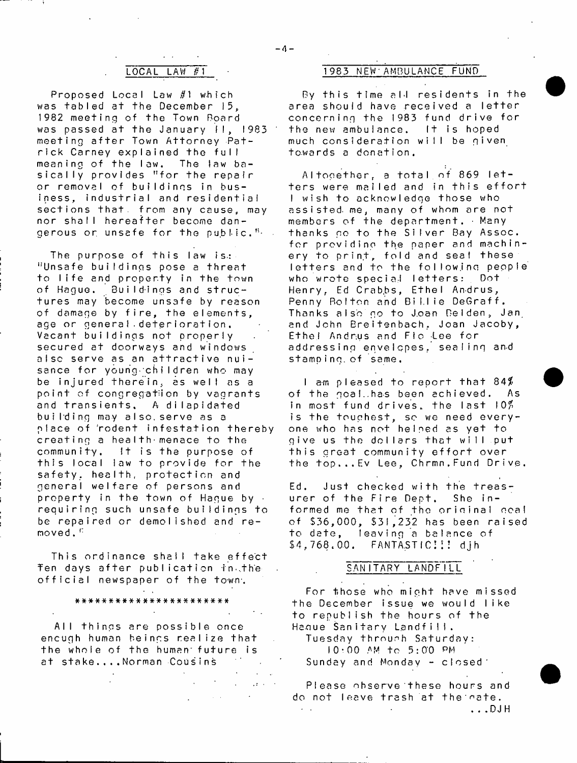### $-4-$

Proposed Local Law #1 which was tabled at the December 15, 1982 meeting of the Town Board was passed at the January II, 1983 **m e e t i n g a f t e r Town A t t o r n e y P a t rick Carney explained the full meaning of the law. The law basically provides "for the repair** or removal of buildings in business, industrial and residential sections that, from any cause, may **nor s h a l l h e r e a f t e r become dan**gerous or unsafe for the public.<sup>"</sup>

The purpose of this law is: "Unsafe buildings pose a threat to life and property in the town of Hague. Buildings and structures may become unsafe by reason of damage by fire, the elements, age or general deterioration. **Vacant buildings not properly secured at doorways and windows** aisc serve as an attractive nuisance for young children who may **be i n j u r e d t h e r e i n , as w el l as a p o i n t of c o n g r e g a t i o n by v a g r a n t s** and transients, A dilapidated building may also, serve as a **place of rodent infestation thereby** creating a health menace to the **community. It is the purpose of** this local law to provide for the safety. health, protection and **general w e lf a r e of persons and** property in the town of Hague by  $\cdot$ **r e q u irin g such unsafe b u ild in g s to** be repaired or demolished and re**moved . i:**

**This ordinance shall take effect** Ten days after publication in the official newspaper of the town.

# **a\*\*\*#\*##\*\*#\*\*#\*#\*\*\*##\*#**

**All things are possible once** encugh human beings realize that the whole of the human future is **a t s t a k e . . . . Norman Cousins**

### **LOCAL LAW #1 1983 NEW'AMBULANCE FUND**

By this time all residents in the area should have received a letter **concerning the I983 fund drive for** the new ambulance. It is hoped much consideration will be given **t o . wa r d s a d o n a t i o n .**

Altogether, a total of 869 letters were mailed and in this effort I wish to acknowledge those who assisted me, many of whom are not members of the department. Many thanks go to the Silver Bay Assoc. for providing the paper and machinery to print, fold and seaf these **letters and to the following people<br>who wrote special letters: Dot** who wrote special letters: He<mark>nry, Ed Crabbs, Ethel Andrus,</mark> **Penny Bolton and Bit.lie DeGraff.** Thanks also go to Joan Belden, Jan and John Breitenbach, Joan Jacoby, **Ethel Andrus and Flo Lee for** addressing envelopes, sealing and **s t a mp i no. o f s a m e .**

**I am p l e a s e d t o r e p o r t t h a t 8 4 \$** of the goal.has been achieved. As in most fund drives, the last 10<sup>%</sup> is the touchest, so we need every**one who has n ot h e l p e d as y e t t o** give us the dollars that will put this great community effort over the top...Ev Lee, Chrmn.Fund Drive.

Ed. Just checked with the treasurer of the Fire Dept. She informed me that of the original goal **of \$ 3 6 ,0 0 0 , \$31,232 has been raised** to date, leaving a balance of **\$ 4 , 7 6 8 . 0 - 0 . F A N T A S T I C ; : ! d j h**

### SANITARY LANDFILL

For those who might have missed **t h e D e c e m b e r i s s u e we w o u l d l i k e to republish the hours of the** Hague Sanitary Landfill.

**Tuesday throurh Saturday: 1 0 - 0 0 ,AM t o 5 : 0 0 PM** Sunday and Monday - closed<sup>\*</sup>

**Please observe these hours and** do not leave trash at the eate. **.. .DJH**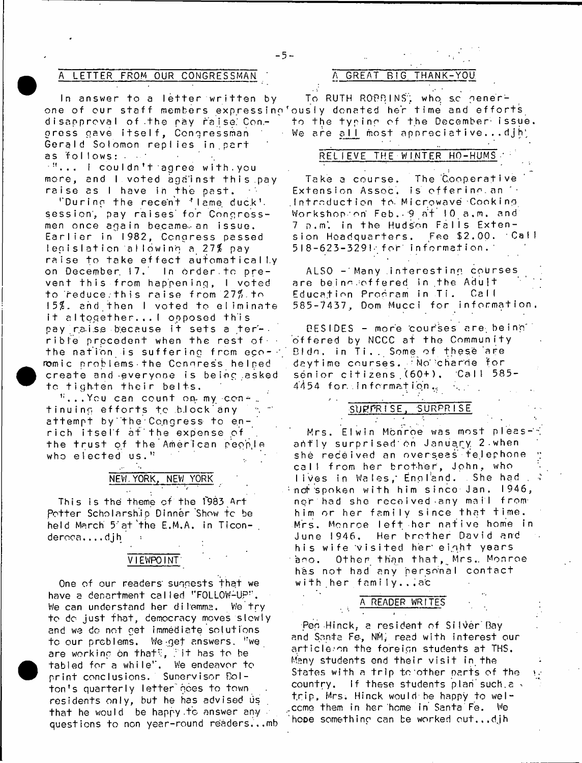### A LETTER FROM OUR CONGRESSMAN ' A GREAT BIG THANK-YOU

one of our staff members expressing ously donated her time and efforts **disapproval of .the ray raise.' Congress gave i t s e l f , Congressman** Gerald Solomon replies in part as follows:  $\cdots$ 

**!!. . . I cou I dn ' t ■ ag r e e w i t h . y o u m o r e , and I v o t e d a g a i n s t t h i s . p a y** raise as I have in the past.

'During the recent 'leme duck'. session, pay raises for Congress**men o n c e a g a i n b e c a m e - a n i s s u e .** Earlier in 1982, Congress passed **l e g i s l a t i o n a I l o w i n g a. 2 7 \$ pay raise to take effect automatically** on December. 17. In order to prevent this from happening, I voted **to reduce.this raise from** *7.1%.* **to ! 5 \$ . a n d t h e n I v o t e d t o e l i m i n a t e it a lt o g e t h e r . ..! opposed this** pay raise because it sets a terrible precedent when the rest of **the nation is suffering from e c o - •' B I c)n ,ro**mic problems the Congress helped create and everyone is being asked **to tighten th e ir belts.**

**1:. . . Y o u c an c o u n t on- my con - \_** tinuing efforts to block any attempt by the Congress to en**rich i ts e lf a t 't h e expense of** the trust of the American people who elected us."

# **NEW.YORK, NEW YORK** *'t*

**This is the theme of the f983 Art Potter Scholarship Dinner Show to be** held March 5 at the E.M.A. in Ticon**deroca.. . .djh**

### **VIEWPOINT**

One of our readers' suggests that we have a department called "FOLLOW-UP". We can understand her dilemma. We try to do just that, democracy moves slowly **and we do not get immediate solutions t c our problems. We :,get answers. i:we**  $\overline{a}$  re working on that<sup>t</sup>, Tit has to be **tabled for a w h i l e '' . We endeavor to** print conclusions. Supervisor Bolton's quarterly letter does to town **residents onl y, but he has advised us t h a t he would be happy .to answer any** questions to non year-round readers...mb

In answer to a letter written by To RUTH ROBBINS, who so generto the typing of the December issue. We are all most appreciative...djh;

### $REL$  **IEVE THE WINTER HO-HUMS**

Take a course. The Cooperative Extension Assoc, is offering an '+ **. I n t r o d u c t i o n to- Microwave Cooking** Workshop.on Feb. 9 at 10 a.m. and **7 p . m '. in t h e Hudson F a l l s E x t e n**  sion Headquarters. Fee \$2.00. Call **5 I 8 - 6 2 3 - 3 2 9 I •\* f o r i n f o r m a t i o n . '**

**ALSO - M a n y i n t e r e s t i n g c o u r s e s** are being offered in the Adult Education Program in Ti. Call **3 8 5 - 7 4 3 7 , Dom M u c c i f o r i n f o r m a t i o n .**

**DESIDES - more cou r'ses a r e , be i no" o f f e r e d by NCCC at the Community in T i . . Some of these are** deytime courses. <sup>TNo</sup> charde for sénior citizens (60+), Call 585-**44 54 f or. , i n f o r ma t i bn .,**

### **SlJFfPR I S E . SURPRI SE**

Mrs. Elwin Monroe was most pleas- i **a h f l y s u r p r i s e d ' on January. 2 - when** she received an overseas telephone call from her brother, John, who **l i v e s in Wales,\* England. She had , : -nd\*'spoken with him sin ce Jan. 1946, n o r had s h e r e c e i v e d - a n y mai l f r o m** him or her family since that time. **Mrs. Monroe le ft her native home in June 1946. Her brother David and his wife visited her' e in.ht years** ano. Other than that, Mrs. Monroe has not had any personal contact with her family...ac

# **A READER WRITES**

Peg Hinck, a resident of Silver Bay **and Santa F&, NM\* read with interest our** article<sub>so</sub>n the foreign students at THS. Many students end their visit in the States with a trip to other parts of the **country, if these students plan' such.a \* trip, Mrs. Hinck would be happy to wellcome them in her heme in Santa Fe. We hooe something can be worked out.,,djh**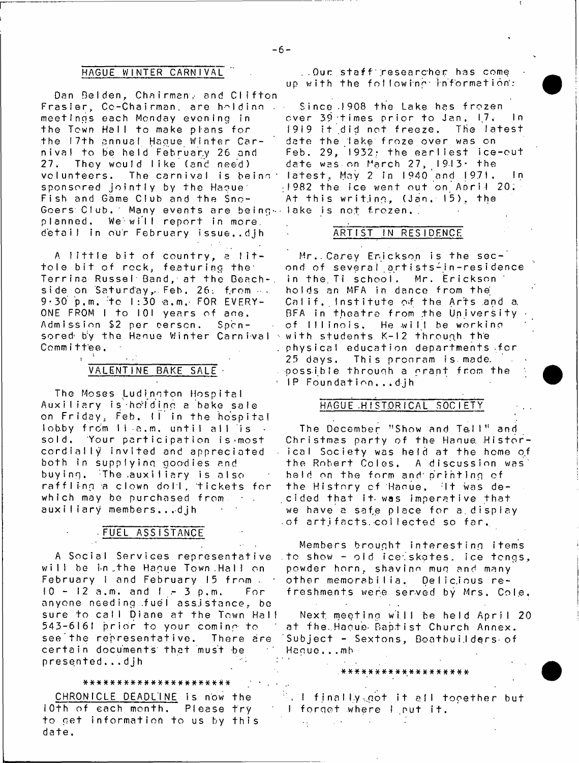### **HAGUE WINTER CARNIVAL**

Dan Belden, Chairman, and Clifton Frasier, Co-Chairman, are holding . . **meetings each Monday evening in** the Town Hall to make plans for **the 17th annual Hague Winter Carn i v a l t o be held F e br u ar y 26 and 27. They would like (and need)** volunteers. The carnival is being: sponsored jointly by the Hague<sup>1</sup> **Fish and Game Club and the Sno-G o e r s C l u b . ' Many e v e n t s a r e b e i n g - lake is not frozen,.** planned, We will report in more, detail in our February issue..dih

A little bit of country, a lit**tole b it of rock, featuring the\* Terrina Russel Band, at the Beach-,** side on Saturday, Feb, 26. from  $\cdots$ 9 - 30 p.m. to 1:30 a.m. FOR EVERY-ONE FROM I to 101 years of ane. Admission \$2 per person. Spcnsored by the Hanue Winter Carnival <sup>,</sup> with students K-12 through the **Committee.**

# **VALENTINE BAKE SALE**

**The Moses Ludinoton H ospit al Aux i I i a r y i s ■ h 6N d i n g a b a k e s a l e** on triday, Feb**.** II in the hospita **lobby f rdm lla.m. until all is sold, Your p a rtic ip a tio n is>most** cordially invited and appreciated **both i n s u p p l y i n g g o o d i e s and** buying, The auxiliary is also **r a f f I i-ng a c l o w n d o l l , t i c k e t s f o r which may be p u r c h a s e d f r o m a u x i I i ary members...djh**

### **■ FUEL ASS I STANCE**

A Social Services representative will be in the Haque Town Hall on February 1 and February 15 from ... **10 - 12 a . m . and I .- 3 p . m . F o r** anvone needing fuel assistance, be sure to call Diane at the Town Hall **54 3 - 6 1 6 1 p r i o r t o your coming\* t o** see the representative. There are certain documents that must be **p r e s e n t e d . . . d j h**

### **\* # \* \* \* \* \* \* \* \* # \* # \* \* # # # # - \* # \* \* \* .**

CHRONICLE DEADLINE is now the 10th of each month. Please try to get information to us by this **date.**

**. Ou r s t a f f ' ; r e s e a r c h e r ha s come** up with the following information:

**Since 1908 the Lake has frozen over 39 times prior to Jan, 1,7\* 1° 1919 it did not freeze. The lates date the l ake f r o z e o v e r was on Feb. 29, 1932: the earliest ice-ou date was on March 2 7 , 1 9 - 1 3 \* t h e latest, May 2 in 1940 and 1 9 7 1 . n I 98 2 t h e ice went out on A d r i I 20 At t h i s writ.ing, (Jan 15). the**

### **ARTI ST IN RESIDENCE**

**Mr..Carey Erickson is the sec**ond of several artists-in-residence in the Ti school. Mr. Erickson holds an MFA in dance from the Calif. Institute of the Arts and a BFA in theatre from the University of Illinois, He will be working **physical education departments for 25 d a y s . T h i s p r c o r a m i s made,** possible through a grant from the **IP Foundation...djh** 

### **HAGUE .HISTORICAL SOCIETY**

The December "Show and Tell" and Christmas party of the Hanue. Historical Society was held at the home of the Robert Coles. A discussion was<sup>1</sup> held on the form and printing of the History of Hanue. It was decided that it was imperative that **we h a v e a saf,e place for a.display** of artifacts collected so far.

**Members brought in te re s tin g items** .to show - old ice: skates, ice tongs, **powder horn,** shavinn **mug a n d many other memorabilia. Qelic.ious re**freshments were served by Mrs. Cole,

Next meeting will be held April 20 **at the.Hague- Baptist Church Annex. Subject - Sextons, BoathuiJders-of H a g u e . . . mb**

**#\*\*#######\*##\*\*###\***

**, I f i na I ly-..got it all together but** I forget where I put it.  $\sim$  .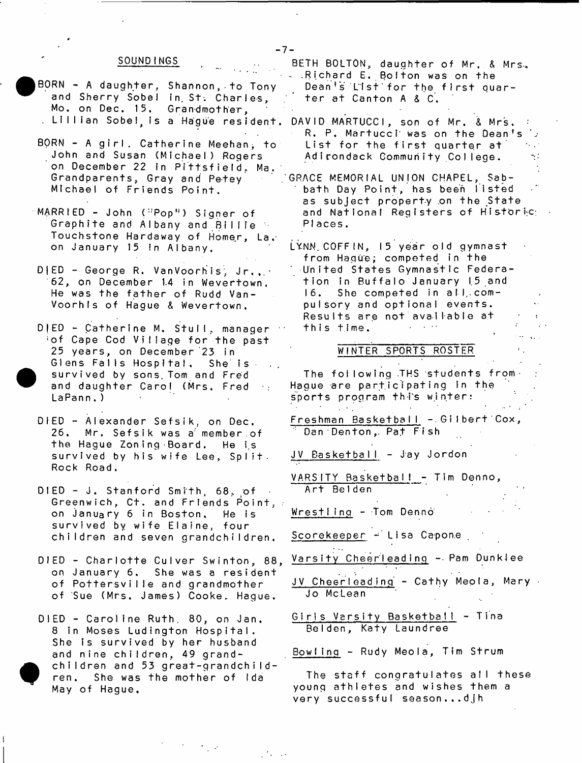### **SOUNDINGS**

- BORN A daughter, Shannon, to Tony and Sherry Sobel in St. Charles, Mo. on Dec. 15. Grandmother,
- BORN A girl. Catherine Meehan, to John and Susan (Michael) Rogers on December 22 in Pittsfield, Ma. **Grandparents, Gray and Pe-tey Michael of Friends Point.**
- **MARRIED John ("Pop") Signer of** Graphite and Albany and Billie Touchstone Hardaway of Homer, La. on January 15 In Albany.
- D<sub>1</sub>ED George R. VanVoorhis, Jr... 62. on December 1.4 in Wevertown, He was the father of Rudd Van-Voorhls of Hague & Wevertown,
- D | ED Catherine M. Stull, manager **;o f Cape Cod Village for the past 25 y e a r s , on December 23 in** Glens Falls Hospital. She is survived by sons. Tom and Fred **and daughter Carol (Mrs. Fred**  $\sim$   $\sim$ **L a P a n n . )**
- **DIED Alexander Sefsik. on Dec.** 26. Mr. Sefsik was a member of **t h e H a g u e Zon i ng ■ Board . He i.s** survived by his wife Lee, Split. **Rock Road.**
- **DIED J. Stanford Smith, 68, of** Greenwich, Ct. and Friends Point, **on J a n u a r y 6 in B o s t o n . He i s s u r v i v e d by wife Elaine, four** children and seven grandchildren.
- $DIED CharI$  charlotte Culver Swinton, 88, on January 6. She was a resident of Pottersville and grandmother **of Sue (Mrs. James) Cooke, Hague.**
- **DIED C a r o l i n e Ruth. 80, on Jan. 8 in Moses Ludington Hospital.** She is survived by her husband and nine children, 49 grandchildren and 53 great-grandchildren. She was the mother of Ida **May of Hague.**

BETH BOLTON, daughter of Mr. & Mrs. **. . . Richard E. Bolton was on the** Dean's List for the first quar**ter at Canton A & C.** 

- . LIIIIan Sobel,is a Hague resident. DAVID MARTUCCI, son of Mr. & Mrs. *:* R. P. Martucci was on the Dean's List for the first quarter at Adirondack Community College.
	- **GRACE MEMORIAL UNION CHAPEL, Sab**bath Day Point, has been listed as subject property on the State and National Registers of Historic; **PI a c e s .**
	- LYNN COFF IN, 15 year old gymnast from Hague; competed in the **United States Gymnastic Federa**tion in Buffalo January 15 and 16. She competed in all compulsory and optional events. **Results are not available at t h i s t i m e . Contractor**

### WINTER SPORTS ROSTER

The following THS students from-Hague are participating in the sports program this winter:  $\mathcal{L}^{\text{max}}$ 

- **Freshman BasketbalI . G i I b e r t 'Cox,** Dan Denton, Pat Fish
- JV Basketball Jay Jordon
- **V A R S I T Y B a s k e t b a I I T i m Den n o ,** Art Belden
- Wrestling Tom Denno

**Scorekeeper - Lisa Capone**

- Varsity Cheerleading Pam Dunklee
- **J V C h e e r I e a d i nq C athy Meola, Mary - Jo McLean**
- **G irls Versify Basketball Tina Belden, Katy Laundree**
- Bowling Rudy Meola, Tim Strum

**The s t a f f c o n g ra tu la te s a!I these young a t h l e t e s and wishes them a very successful season...djh**